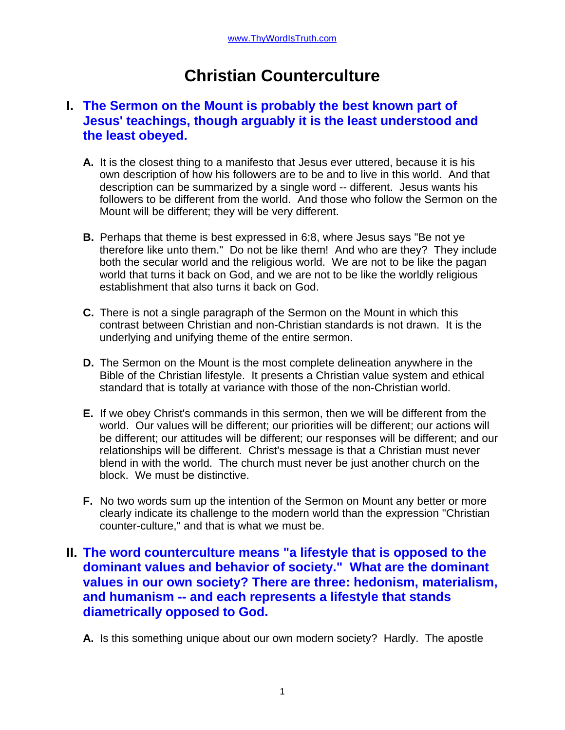# **Christian Counterculture**

## **I. The Sermon on the Mount is probably the best known part of Jesus' teachings, though arguably it is the least understood and the least obeyed.**

- **A.** It is the closest thing to a manifesto that Jesus ever uttered, because it is his own description of how his followers are to be and to live in this world. And that description can be summarized by a single word -- different. Jesus wants his followers to be different from the world. And those who follow the Sermon on the Mount will be different; they will be very different.
- **B.** Perhaps that theme is best expressed in 6:8, where Jesus says "Be not ye therefore like unto them." Do not be like them! And who are they? They include both the secular world and the religious world. We are not to be like the pagan world that turns it back on God, and we are not to be like the worldly religious establishment that also turns it back on God.
- **C.** There is not a single paragraph of the Sermon on the Mount in which this contrast between Christian and non-Christian standards is not drawn. It is the underlying and unifying theme of the entire sermon.
- **D.** The Sermon on the Mount is the most complete delineation anywhere in the Bible of the Christian lifestyle. It presents a Christian value system and ethical standard that is totally at variance with those of the non-Christian world.
- **E.** If we obey Christ's commands in this sermon, then we will be different from the world. Our values will be different; our priorities will be different; our actions will be different; our attitudes will be different; our responses will be different; and our relationships will be different. Christ's message is that a Christian must never blend in with the world. The church must never be just another church on the block. We must be distinctive.
- **F.** No two words sum up the intention of the Sermon on Mount any better or more clearly indicate its challenge to the modern world than the expression "Christian counter-culture," and that is what we must be.

### **II. The word counterculture means "a lifestyle that is opposed to the dominant values and behavior of society." What are the dominant values in our own society? There are three: hedonism, materialism, and humanism -- and each represents a lifestyle that stands diametrically opposed to God.**

**A.** Is this something unique about our own modern society? Hardly. The apostle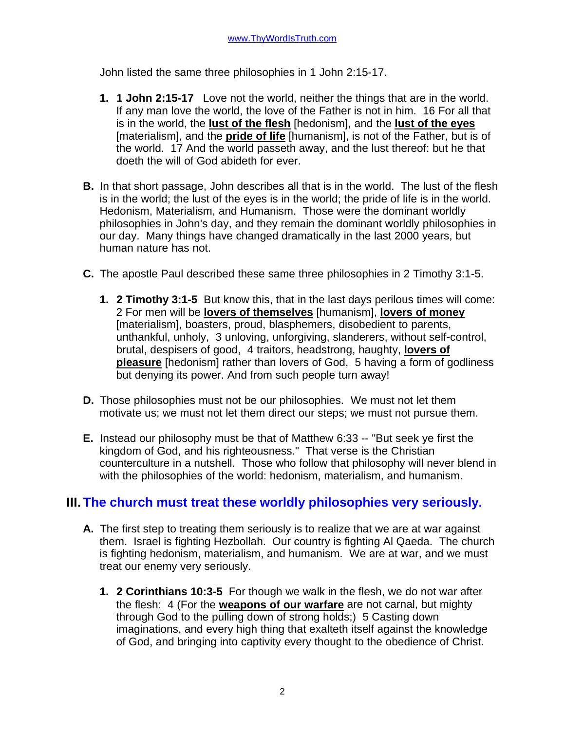John listed the same three philosophies in 1 John 2:15-17.

- **1. 1 John 2:15-17** Love not the world, neither the things that are in the world. If any man love the world, the love of the Father is not in him. 16 For all that is in the world, the **lust of the flesh** [hedonism], and the **lust of the eyes** [materialism], and the **pride of life** [humanism], is not of the Father, but is of the world. 17 And the world passeth away, and the lust thereof: but he that doeth the will of God abideth for ever.
- **B.** In that short passage, John describes all that is in the world. The lust of the flesh is in the world; the lust of the eyes is in the world; the pride of life is in the world. Hedonism, Materialism, and Humanism. Those were the dominant worldly philosophies in John's day, and they remain the dominant worldly philosophies in our day. Many things have changed dramatically in the last 2000 years, but human nature has not.
- **C.** The apostle Paul described these same three philosophies in 2 Timothy 3:1-5.
	- **1. 2 Timothy 3:1-5** But know this, that in the last days perilous times will come: 2 For men will be **lovers of themselves** [humanism], **lovers of money** [materialism], boasters, proud, blasphemers, disobedient to parents, unthankful, unholy, 3 unloving, unforgiving, slanderers, without self-control, brutal, despisers of good, 4 traitors, headstrong, haughty, **lovers of pleasure** [hedonism] rather than lovers of God, 5 having a form of godliness but denying its power. And from such people turn away!
- **D.** Those philosophies must not be our philosophies. We must not let them motivate us; we must not let them direct our steps; we must not pursue them.
- **E.** Instead our philosophy must be that of Matthew 6:33 -- "But seek ye first the kingdom of God, and his righteousness." That verse is the Christian counterculture in a nutshell. Those who follow that philosophy will never blend in with the philosophies of the world: hedonism, materialism, and humanism.

#### **III. The church must treat these worldly philosophies very seriously.**

- **A.** The first step to treating them seriously is to realize that we are at war against them. Israel is fighting Hezbollah. Our country is fighting Al Qaeda. The church is fighting hedonism, materialism, and humanism. We are at war, and we must treat our enemy very seriously.
	- **1. 2 Corinthians 10:3-5** For though we walk in the flesh, we do not war after the flesh: 4 (For the **weapons of our warfare** are not carnal, but mighty through God to the pulling down of strong holds;) 5 Casting down imaginations, and every high thing that exalteth itself against the knowledge of God, and bringing into captivity every thought to the obedience of Christ.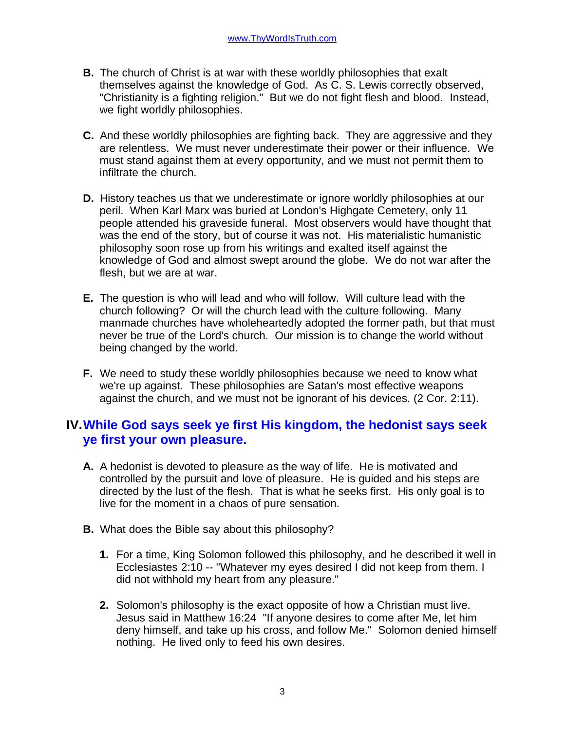- **B.** The church of Christ is at war with these worldly philosophies that exalt themselves against the knowledge of God. As C. S. Lewis correctly observed, "Christianity is a fighting religion." But we do not fight flesh and blood. Instead, we fight worldly philosophies.
- **C.** And these worldly philosophies are fighting back. They are aggressive and they are relentless. We must never underestimate their power or their influence. We must stand against them at every opportunity, and we must not permit them to infiltrate the church.
- **D.** History teaches us that we underestimate or ignore worldly philosophies at our peril. When Karl Marx was buried at London's Highgate Cemetery, only 11 people attended his graveside funeral. Most observers would have thought that was the end of the story, but of course it was not. His materialistic humanistic philosophy soon rose up from his writings and exalted itself against the knowledge of God and almost swept around the globe. We do not war after the flesh, but we are at war.
- **E.** The question is who will lead and who will follow. Will culture lead with the church following? Or will the church lead with the culture following. Many manmade churches have wholeheartedly adopted the former path, but that must never be true of the Lord's church. Our mission is to change the world without being changed by the world.
- **F.** We need to study these worldly philosophies because we need to know what we're up against. These philosophies are Satan's most effective weapons against the church, and we must not be ignorant of his devices. (2 Cor. 2:11).

## **IV.While God says seek ye first His kingdom, the hedonist says seek ye first your own pleasure.**

- **A.** A hedonist is devoted to pleasure as the way of life. He is motivated and controlled by the pursuit and love of pleasure. He is guided and his steps are directed by the lust of the flesh. That is what he seeks first. His only goal is to live for the moment in a chaos of pure sensation.
- **B.** What does the Bible say about this philosophy?
	- **1.** For a time, King Solomon followed this philosophy, and he described it well in Ecclesiastes 2:10 -- "Whatever my eyes desired I did not keep from them. I did not withhold my heart from any pleasure."
	- **2.** Solomon's philosophy is the exact opposite of how a Christian must live. Jesus said in Matthew 16:24 "If anyone desires to come after Me, let him deny himself, and take up his cross, and follow Me." Solomon denied himself nothing. He lived only to feed his own desires.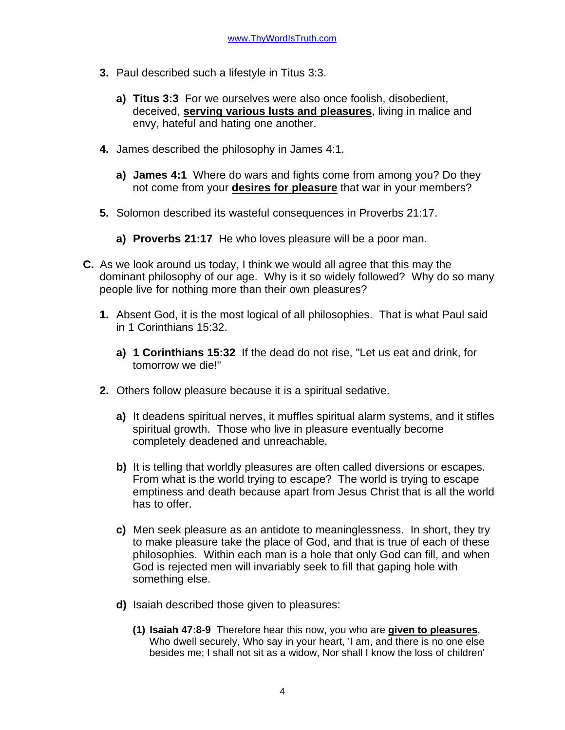- **3.** Paul described such a lifestyle in Titus 3:3.
	- **a) Titus 3:3** For we ourselves were also once foolish, disobedient, deceived, **serving various lusts and pleasures**, living in malice and envy, hateful and hating one another.
- **4.** James described the philosophy in James 4:1.
	- **a) James 4:1** Where do wars and fights come from among you? Do they not come from your **desires for pleasure** that war in your members?
- **5.** Solomon described its wasteful consequences in Proverbs 21:17.
	- **a) Proverbs 21:17** He who loves pleasure will be a poor man.
- **C.** As we look around us today, I think we would all agree that this may the dominant philosophy of our age. Why is it so widely followed? Why do so many people live for nothing more than their own pleasures?
	- **1.** Absent God, it is the most logical of all philosophies. That is what Paul said in 1 Corinthians 15:32.
		- **a) 1 Corinthians 15:32** If the dead do not rise, "Let us eat and drink, for tomorrow we die!"
	- **2.** Others follow pleasure because it is a spiritual sedative.
		- **a)** It deadens spiritual nerves, it muffles spiritual alarm systems, and it stifles spiritual growth. Those who live in pleasure eventually become completely deadened and unreachable.
		- **b)** It is telling that worldly pleasures are often called diversions or escapes. From what is the world trying to escape? The world is trying to escape emptiness and death because apart from Jesus Christ that is all the world has to offer.
		- **c)** Men seek pleasure as an antidote to meaninglessness. In short, they try to make pleasure take the place of God, and that is true of each of these philosophies. Within each man is a hole that only God can fill, and when God is rejected men will invariably seek to fill that gaping hole with something else.
		- **d)** Isaiah described those given to pleasures:
			- **(1) Isaiah 47:8-9** Therefore hear this now, you who are **given to pleasures**, Who dwell securely, Who say in your heart, 'I am, and there is no one else besides me; I shall not sit as a widow, Nor shall I know the loss of children'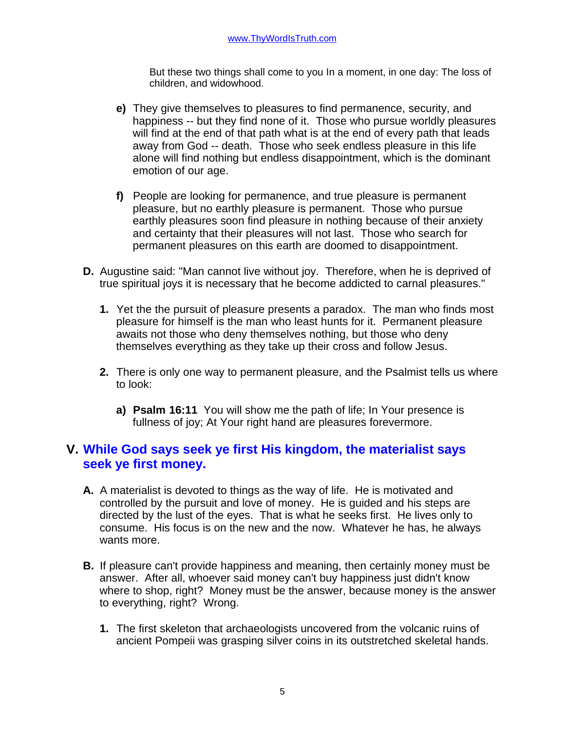But these two things shall come to you In a moment, in one day: The loss of children, and widowhood.

- **e)** They give themselves to pleasures to find permanence, security, and happiness -- but they find none of it. Those who pursue worldly pleasures will find at the end of that path what is at the end of every path that leads away from God -- death. Those who seek endless pleasure in this life alone will find nothing but endless disappointment, which is the dominant emotion of our age.
- **f)** People are looking for permanence, and true pleasure is permanent pleasure, but no earthly pleasure is permanent. Those who pursue earthly pleasures soon find pleasure in nothing because of their anxiety and certainty that their pleasures will not last. Those who search for permanent pleasures on this earth are doomed to disappointment.
- **D.** Augustine said: "Man cannot live without joy. Therefore, when he is deprived of true spiritual joys it is necessary that he become addicted to carnal pleasures."
	- **1.** Yet the the pursuit of pleasure presents a paradox. The man who finds most pleasure for himself is the man who least hunts for it. Permanent pleasure awaits not those who deny themselves nothing, but those who deny themselves everything as they take up their cross and follow Jesus.
	- **2.** There is only one way to permanent pleasure, and the Psalmist tells us where to look:
		- **a) Psalm 16:11** You will show me the path of life; In Your presence is fullness of joy; At Your right hand are pleasures forevermore.

### **V. While God says seek ye first His kingdom, the materialist says seek ye first money.**

- **A.** A materialist is devoted to things as the way of life. He is motivated and controlled by the pursuit and love of money. He is guided and his steps are directed by the lust of the eyes. That is what he seeks first. He lives only to consume. His focus is on the new and the now. Whatever he has, he always wants more.
- **B.** If pleasure can't provide happiness and meaning, then certainly money must be answer. After all, whoever said money can't buy happiness just didn't know where to shop, right? Money must be the answer, because money is the answer to everything, right? Wrong.
	- **1.** The first skeleton that archaeologists uncovered from the volcanic ruins of ancient Pompeii was grasping silver coins in its outstretched skeletal hands.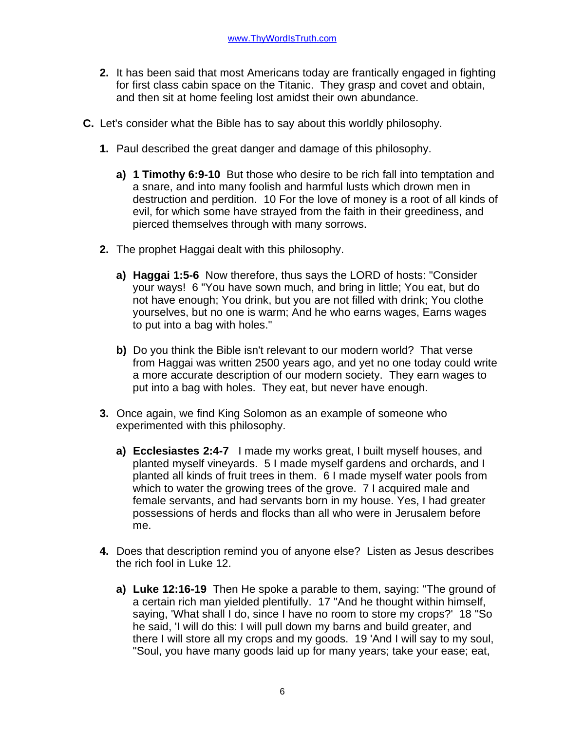- **2.** It has been said that most Americans today are frantically engaged in fighting for first class cabin space on the Titanic. They grasp and covet and obtain, and then sit at home feeling lost amidst their own abundance.
- **C.** Let's consider what the Bible has to say about this worldly philosophy.
	- **1.** Paul described the great danger and damage of this philosophy.
		- **a) 1 Timothy 6:9-10** But those who desire to be rich fall into temptation and a snare, and into many foolish and harmful lusts which drown men in destruction and perdition. 10 For the love of money is a root of all kinds of evil, for which some have strayed from the faith in their greediness, and pierced themselves through with many sorrows.
	- **2.** The prophet Haggai dealt with this philosophy.
		- **a) Haggai 1:5-6** Now therefore, thus says the LORD of hosts: "Consider your ways! 6 "You have sown much, and bring in little; You eat, but do not have enough; You drink, but you are not filled with drink; You clothe yourselves, but no one is warm; And he who earns wages, Earns wages to put into a bag with holes."
		- **b)** Do you think the Bible isn't relevant to our modern world? That verse from Haggai was written 2500 years ago, and yet no one today could write a more accurate description of our modern society. They earn wages to put into a bag with holes. They eat, but never have enough.
	- **3.** Once again, we find King Solomon as an example of someone who experimented with this philosophy.
		- **a) Ecclesiastes 2:4-7** I made my works great, I built myself houses, and planted myself vineyards. 5 I made myself gardens and orchards, and I planted all kinds of fruit trees in them. 6 I made myself water pools from which to water the growing trees of the grove. 7 I acquired male and female servants, and had servants born in my house. Yes, I had greater possessions of herds and flocks than all who were in Jerusalem before me.
	- **4.** Does that description remind you of anyone else? Listen as Jesus describes the rich fool in Luke 12.
		- **a) Luke 12:16-19** Then He spoke a parable to them, saying: "The ground of a certain rich man yielded plentifully. 17 "And he thought within himself, saying, 'What shall I do, since I have no room to store my crops?' 18 "So he said, 'I will do this: I will pull down my barns and build greater, and there I will store all my crops and my goods. 19 'And I will say to my soul, "Soul, you have many goods laid up for many years; take your ease; eat,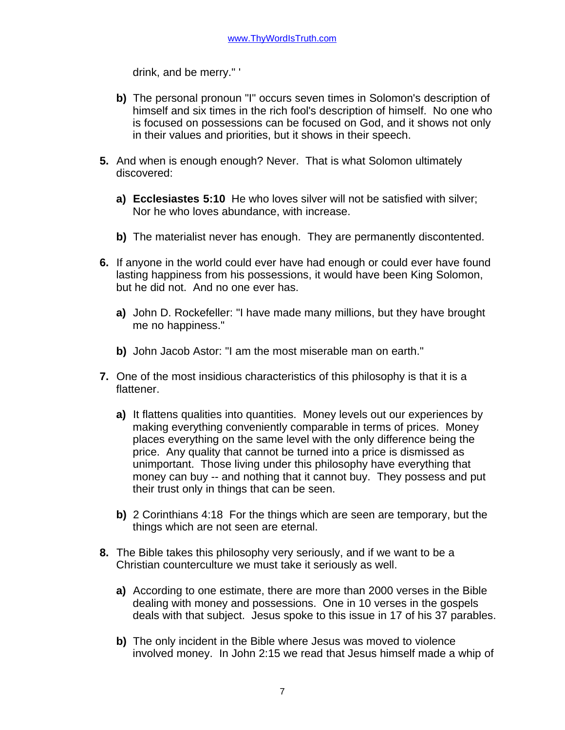drink, and be merry." '

- **b)** The personal pronoun "I" occurs seven times in Solomon's description of himself and six times in the rich fool's description of himself. No one who is focused on possessions can be focused on God, and it shows not only in their values and priorities, but it shows in their speech.
- **5.** And when is enough enough? Never. That is what Solomon ultimately discovered:
	- **a) Ecclesiastes 5:10** He who loves silver will not be satisfied with silver; Nor he who loves abundance, with increase.
	- **b)** The materialist never has enough. They are permanently discontented.
- **6.** If anyone in the world could ever have had enough or could ever have found lasting happiness from his possessions, it would have been King Solomon, but he did not. And no one ever has.
	- **a)** John D. Rockefeller: "I have made many millions, but they have brought me no happiness."
	- **b)** John Jacob Astor: "I am the most miserable man on earth."
- **7.** One of the most insidious characteristics of this philosophy is that it is a flattener.
	- **a)** It flattens qualities into quantities. Money levels out our experiences by making everything conveniently comparable in terms of prices. Money places everything on the same level with the only difference being the price. Any quality that cannot be turned into a price is dismissed as unimportant. Those living under this philosophy have everything that money can buy -- and nothing that it cannot buy. They possess and put their trust only in things that can be seen.
	- **b)** 2 Corinthians 4:18 For the things which are seen are temporary, but the things which are not seen are eternal.
- **8.** The Bible takes this philosophy very seriously, and if we want to be a Christian counterculture we must take it seriously as well.
	- **a)** According to one estimate, there are more than 2000 verses in the Bible dealing with money and possessions. One in 10 verses in the gospels deals with that subject. Jesus spoke to this issue in 17 of his 37 parables.
	- **b)** The only incident in the Bible where Jesus was moved to violence involved money. In John 2:15 we read that Jesus himself made a whip of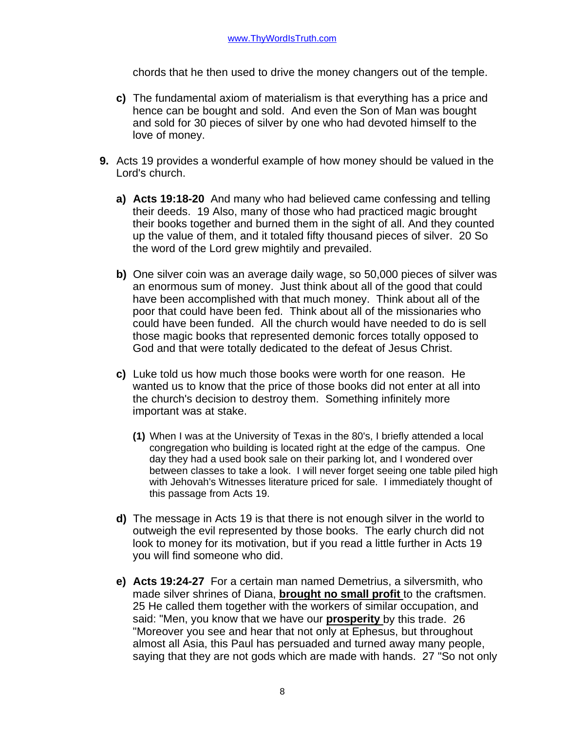chords that he then used to drive the money changers out of the temple.

- **c)** The fundamental axiom of materialism is that everything has a price and hence can be bought and sold. And even the Son of Man was bought and sold for 30 pieces of silver by one who had devoted himself to the love of money.
- **9.** Acts 19 provides a wonderful example of how money should be valued in the Lord's church.
	- **a) Acts 19:18-20** And many who had believed came confessing and telling their deeds. 19 Also, many of those who had practiced magic brought their books together and burned them in the sight of all. And they counted up the value of them, and it totaled fifty thousand pieces of silver. 20 So the word of the Lord grew mightily and prevailed.
	- **b)** One silver coin was an average daily wage, so 50,000 pieces of silver was an enormous sum of money. Just think about all of the good that could have been accomplished with that much money. Think about all of the poor that could have been fed. Think about all of the missionaries who could have been funded. All the church would have needed to do is sell those magic books that represented demonic forces totally opposed to God and that were totally dedicated to the defeat of Jesus Christ.
	- **c)** Luke told us how much those books were worth for one reason. He wanted us to know that the price of those books did not enter at all into the church's decision to destroy them. Something infinitely more important was at stake.
		- **(1)** When I was at the University of Texas in the 80's, I briefly attended a local congregation who building is located right at the edge of the campus. One day they had a used book sale on their parking lot, and I wondered over between classes to take a look. I will never forget seeing one table piled high with Jehovah's Witnesses literature priced for sale. I immediately thought of this passage from Acts 19.
	- **d)** The message in Acts 19 is that there is not enough silver in the world to outweigh the evil represented by those books. The early church did not look to money for its motivation, but if you read a little further in Acts 19 you will find someone who did.
	- **e) Acts 19:24-27** For a certain man named Demetrius, a silversmith, who made silver shrines of Diana, **brought no small profit** to the craftsmen. 25 He called them together with the workers of similar occupation, and said: "Men, you know that we have our **prosperity** by this trade. 26 "Moreover you see and hear that not only at Ephesus, but throughout almost all Asia, this Paul has persuaded and turned away many people, saying that they are not gods which are made with hands. 27 "So not only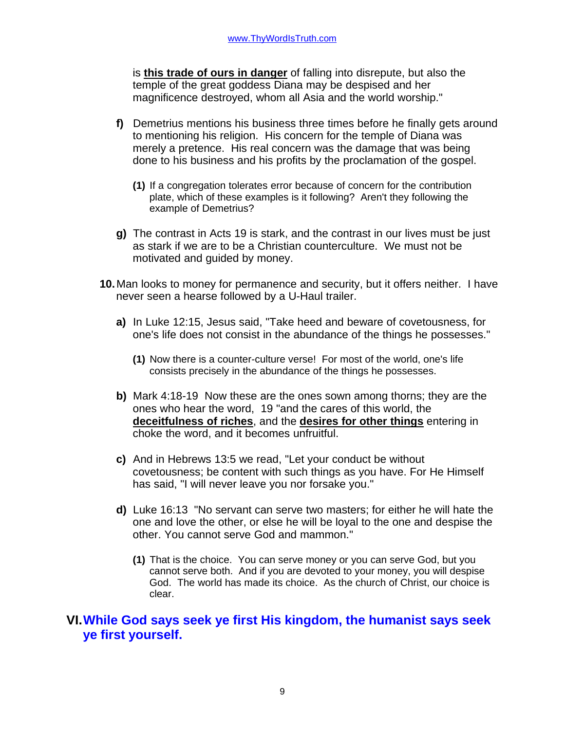is **this trade of ours in danger** of falling into disrepute, but also the temple of the great goddess Diana may be despised and her magnificence destroyed, whom all Asia and the world worship."

- **f)** Demetrius mentions his business three times before he finally gets around to mentioning his religion. His concern for the temple of Diana was merely a pretence. His real concern was the damage that was being done to his business and his profits by the proclamation of the gospel.
	- **(1)** If a congregation tolerates error because of concern for the contribution plate, which of these examples is it following? Aren't they following the example of Demetrius?
- **g)** The contrast in Acts 19 is stark, and the contrast in our lives must be just as stark if we are to be a Christian counterculture. We must not be motivated and guided by money.
- **10.**Man looks to money for permanence and security, but it offers neither. I have never seen a hearse followed by a U-Haul trailer.
	- **a)** In Luke 12:15, Jesus said, "Take heed and beware of covetousness, for one's life does not consist in the abundance of the things he possesses."
		- **(1)** Now there is a counter-culture verse! For most of the world, one's life consists precisely in the abundance of the things he possesses.
	- **b)** Mark 4:18-19 Now these are the ones sown among thorns; they are the ones who hear the word, 19 "and the cares of this world, the **deceitfulness of riches**, and the **desires for other things** entering in choke the word, and it becomes unfruitful.
	- **c)** And in Hebrews 13:5 we read, "Let your conduct be without covetousness; be content with such things as you have. For He Himself has said, "I will never leave you nor forsake you."
	- **d)** Luke 16:13 "No servant can serve two masters; for either he will hate the one and love the other, or else he will be loyal to the one and despise the other. You cannot serve God and mammon."
		- **(1)** That is the choice. You can serve money or you can serve God, but you cannot serve both. And if you are devoted to your money, you will despise God. The world has made its choice. As the church of Christ, our choice is clear.

### **VI.While God says seek ye first His kingdom, the humanist says seek ye first yourself.**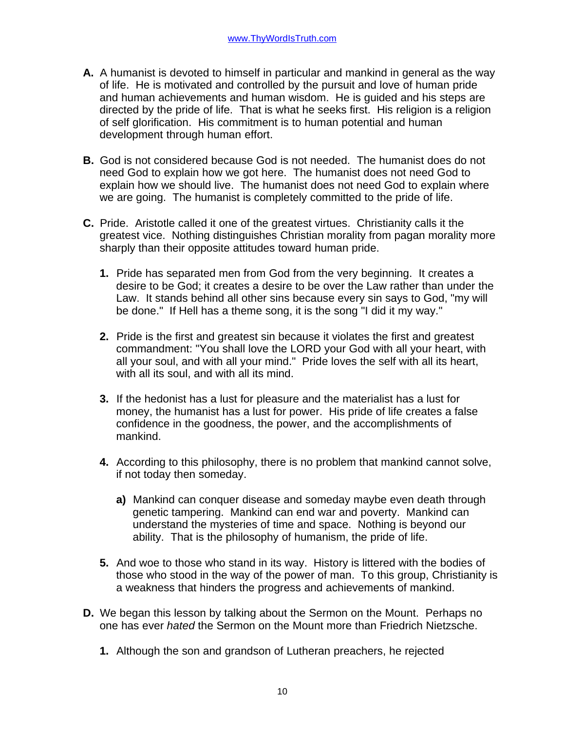- **A.** A humanist is devoted to himself in particular and mankind in general as the way of life. He is motivated and controlled by the pursuit and love of human pride and human achievements and human wisdom. He is guided and his steps are directed by the pride of life. That is what he seeks first. His religion is a religion of self glorification. His commitment is to human potential and human development through human effort.
- **B.** God is not considered because God is not needed. The humanist does do not need God to explain how we got here. The humanist does not need God to explain how we should live. The humanist does not need God to explain where we are going. The humanist is completely committed to the pride of life.
- **C.** Pride. Aristotle called it one of the greatest virtues. Christianity calls it the greatest vice. Nothing distinguishes Christian morality from pagan morality more sharply than their opposite attitudes toward human pride.
	- **1.** Pride has separated men from God from the very beginning. It creates a desire to be God; it creates a desire to be over the Law rather than under the Law. It stands behind all other sins because every sin says to God, "my will be done." If Hell has a theme song, it is the song "I did it my way."
	- **2.** Pride is the first and greatest sin because it violates the first and greatest commandment: "You shall love the LORD your God with all your heart, with all your soul, and with all your mind." Pride loves the self with all its heart, with all its soul, and with all its mind.
	- **3.** If the hedonist has a lust for pleasure and the materialist has a lust for money, the humanist has a lust for power. His pride of life creates a false confidence in the goodness, the power, and the accomplishments of mankind.
	- **4.** According to this philosophy, there is no problem that mankind cannot solve, if not today then someday.
		- **a)** Mankind can conquer disease and someday maybe even death through genetic tampering. Mankind can end war and poverty. Mankind can understand the mysteries of time and space. Nothing is beyond our ability. That is the philosophy of humanism, the pride of life.
	- **5.** And woe to those who stand in its way. History is littered with the bodies of those who stood in the way of the power of man. To this group, Christianity is a weakness that hinders the progress and achievements of mankind.
- **D.** We began this lesson by talking about the Sermon on the Mount. Perhaps no one has ever *hated* the Sermon on the Mount more than Friedrich Nietzsche.
	- **1.** Although the son and grandson of Lutheran preachers, he rejected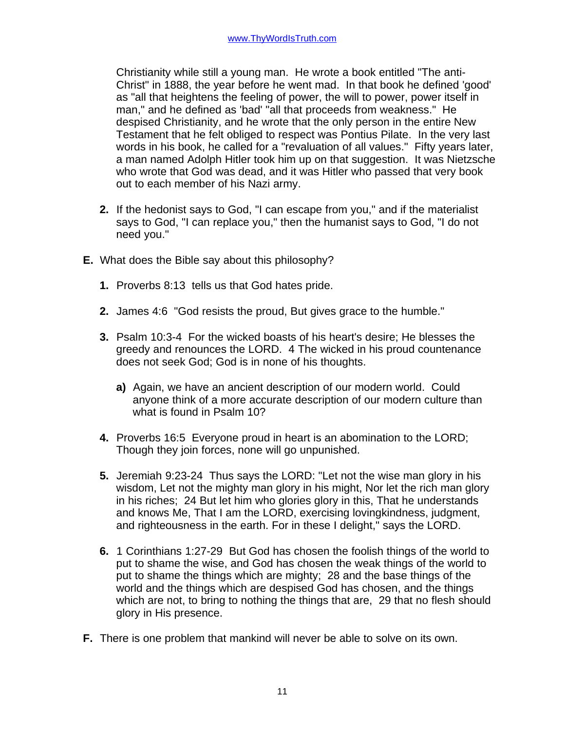Christianity while still a young man. He wrote a book entitled "The anti-Christ" in 1888, the year before he went mad. In that book he defined 'good' as "all that heightens the feeling of power, the will to power, power itself in man," and he defined as 'bad' "all that proceeds from weakness." He despised Christianity, and he wrote that the only person in the entire New Testament that he felt obliged to respect was Pontius Pilate. In the very last words in his book, he called for a "revaluation of all values." Fifty years later, a man named Adolph Hitler took him up on that suggestion. It was Nietzsche who wrote that God was dead, and it was Hitler who passed that very book out to each member of his Nazi army.

- **2.** If the hedonist says to God, "I can escape from you," and if the materialist says to God, "I can replace you," then the humanist says to God, "I do not need you."
- **E.** What does the Bible say about this philosophy?
	- **1.** Proverbs 8:13 tells us that God hates pride.
	- **2.** James 4:6 "God resists the proud, But gives grace to the humble."
	- **3.** Psalm 10:3-4 For the wicked boasts of his heart's desire; He blesses the greedy and renounces the LORD. 4 The wicked in his proud countenance does not seek God; God is in none of his thoughts.
		- **a)** Again, we have an ancient description of our modern world. Could anyone think of a more accurate description of our modern culture than what is found in Psalm 10?
	- **4.** Proverbs 16:5 Everyone proud in heart is an abomination to the LORD; Though they join forces, none will go unpunished.
	- **5.** Jeremiah 9:23-24 Thus says the LORD: "Let not the wise man glory in his wisdom, Let not the mighty man glory in his might, Nor let the rich man glory in his riches; 24 But let him who glories glory in this, That he understands and knows Me, That I am the LORD, exercising lovingkindness, judgment, and righteousness in the earth. For in these I delight," says the LORD.
	- **6.** 1 Corinthians 1:27-29 But God has chosen the foolish things of the world to put to shame the wise, and God has chosen the weak things of the world to put to shame the things which are mighty; 28 and the base things of the world and the things which are despised God has chosen, and the things which are not, to bring to nothing the things that are, 29 that no flesh should glory in His presence.
- **F.** There is one problem that mankind will never be able to solve on its own.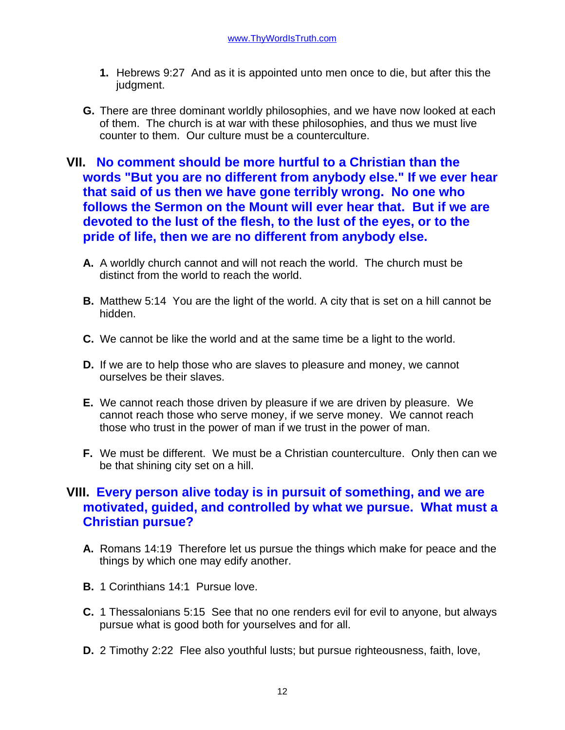- **1.** Hebrews 9:27 And as it is appointed unto men once to die, but after this the judgment.
- **G.** There are three dominant worldly philosophies, and we have now looked at each of them. The church is at war with these philosophies, and thus we must live counter to them. Our culture must be a counterculture.

## **VII. No comment should be more hurtful to a Christian than the words "But you are no different from anybody else." If we ever hear that said of us then we have gone terribly wrong. No one who follows the Sermon on the Mount will ever hear that. But if we are devoted to the lust of the flesh, to the lust of the eyes, or to the pride of life, then we are no different from anybody else.**

- **A.** A worldly church cannot and will not reach the world. The church must be distinct from the world to reach the world.
- **B.** Matthew 5:14 You are the light of the world. A city that is set on a hill cannot be hidden.
- **C.** We cannot be like the world and at the same time be a light to the world.
- **D.** If we are to help those who are slaves to pleasure and money, we cannot ourselves be their slaves.
- **E.** We cannot reach those driven by pleasure if we are driven by pleasure. We cannot reach those who serve money, if we serve money. We cannot reach those who trust in the power of man if we trust in the power of man.
- **F.** We must be different. We must be a Christian counterculture. Only then can we be that shining city set on a hill.

## **VIII. Every person alive today is in pursuit of something, and we are motivated, guided, and controlled by what we pursue. What must a Christian pursue?**

- **A.** Romans 14:19 Therefore let us pursue the things which make for peace and the things by which one may edify another.
- **B.** 1 Corinthians 14:1 Pursue love.
- **C.** 1 Thessalonians 5:15 See that no one renders evil for evil to anyone, but always pursue what is good both for yourselves and for all.
- **D.** 2 Timothy 2:22 Flee also youthful lusts; but pursue righteousness, faith, love,